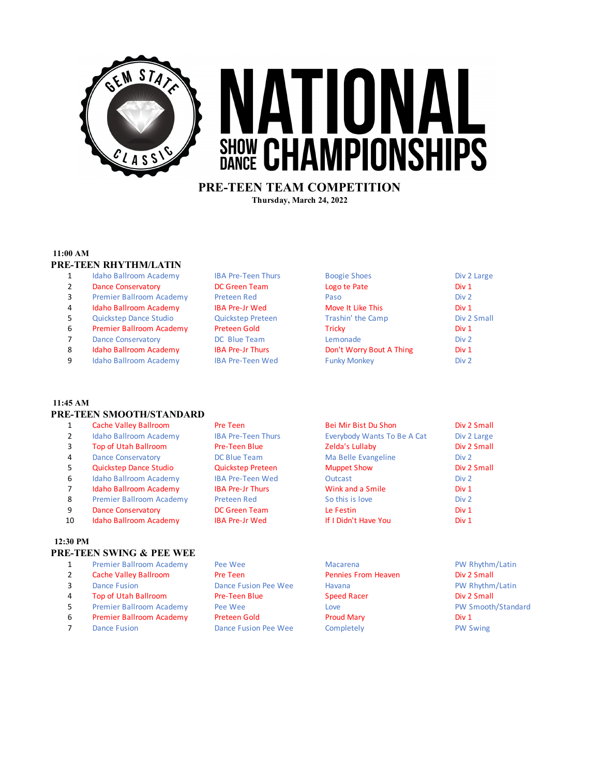

# ATIONA SHOW CHAMPIONSHIPS

## **PRE-TEEN TEAM COMPETITION Thursday, March 24, 2022**

## **11:00 AM**

## **PRE-TEEN RHYTHM/LATIN**

- 1 Idaho Ballroom Academy IBA Pre-Teen Thurs
- 2 Dance Conservatory DC Green Team
- 3 Premier Ballroom Academy Preteen Red
- 4 Idaho Ballroom Academy IBA Pre-Jr Wed
- 5 Quickstep Dance Studio **Quickstep Preteen**
- 6 Premier Ballroom Academy Preteen Gold
- 7 Dance Conservatory DC Blue Team
- 8 Idaho Ballroom Academy IBA Pre-Jr Thurs
- 9 Idaho Ballroom Academy IBA Pre-Teen Wed

| <b>Boogie Shoes</b>      | Div 2 Large      |
|--------------------------|------------------|
| Logo te Pate             | Div <sub>1</sub> |
| Paso                     | Div <sub>2</sub> |
| Move It Like This        | Div <sub>1</sub> |
| Trashin' the Camp        | Div 2 Small      |
| Tricky                   | Div <sub>1</sub> |
| Lemonade                 | Div <sub>2</sub> |
| Don't Worry Bout A Thing | Div 1            |
| <b>Funky Monkey</b>      | Div <sub>2</sub> |

## **11:45 AM PRE-TEEN SMOOTH/STANDARD**

- 
- 
- 
- 
- 
- 
- 
- 
- 
- 

### **12:30 PM**

## **PRE-TEEN SWING & PEE WEE**

- 1 Premier Ballroom Academy Pee Wee Macarena PW Rhythm/Latin
- 2 Cache Valley Ballroom Pre Teen Pennies From Heaven Div 2 Small
- 
- 4 Top of Utah Ballroom Pre-Teen Blue Speed Racer Speed Racer Div 2 Small
- 5 Premier Ballroom Academy Pee Wee Love Love Love PW Smooth/Standard
- 6 Premier Ballroom Academy Preteen Gold Proud Mary Proud Mary Div 1
- 7 Dance Fusion **Dance Fusion Pee Wee** Completely **Completely** PW Swing
- 1 Cache Valley Ballroom Pre Teen Bei Mir Bist Du Shon Div 2 Small 2 Idaho Ballroom Academy IBA Pre-Teen Thurs Everybody Wants To Be A Cat Div 2 Large 3 Top of Utah Ballroom Pre-Teen Blue Zelda's Lullaby Div 2 Small 4 Dance Conservatory **DE Blue Team** Ma Belle Evangeline Div 2 5 Quickstep Dance Studio Quickstep Preteen Muppet Show Div 2 Small 6 Idaho Ballroom Academy IBA Pre-Teen Wed Dutcast Div 2 7 Idaho Ballroom Academy IBA Pre-Jr Thurs Wink and a Smile Div 1 8 Premier Ballroom Academy Preteen Red So this is love Div 2 9 Dance Conservatory **DC Green Team** Le Festin Le Festin Div 1 10 Idaho Ballroom Academy IBA Pre-Jr Wed If I Didn't Have You Div 1
- 3 Dance Fusion **Dance Fusion Pee Wee** Havana **PW Rhythm/Latin**
-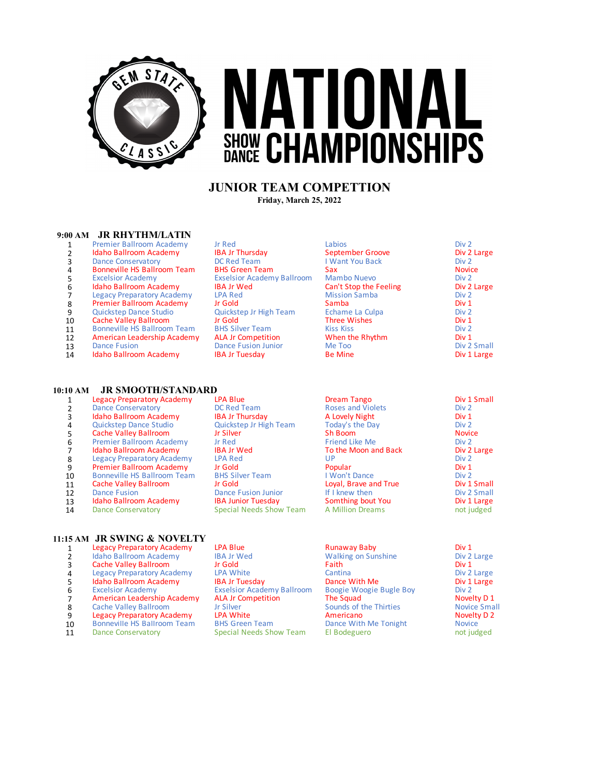

# VATIONAL **SHOW CHAMPIONSHIPS**

# **JUNIOR TEAM COMPETTION Friday, March 25, 2022**

#### **9:00 AM JR RHYTHM/LATIN**

- 1 Premier Ballroom Academy Jr Red Labios Labios Companies Div 2 Div 2 Large Div 2 Large Div 2 Large Div 2 Large
- 2 **Idaho Ballroom Academy IBA Jr Thursday September Groove Convention Convention Convention Convention Convention**<br>2 Dance Conservatory Div 2 Large Div 2 Large Div 2 Large Div 2 Large Div 2 Div 2
- 3 Dance Conservatory **DC Red Team I Want You Back** Div 2<br>3 Domeville HS Ballroom Team I BHS Green Team Sax
- 4 Bonneville HS Ballroom Team BHS Green Team Sax Sax Novice Case Sax Novice Consumers Sax Novice Case Sax Novice Case Sax Novice Case Sax Novice Case Sax Novice Case Sax Novice Case Sax Novice Case Sax Novice Case Sax Sax
- 
- 
- 
- 
- 
- 
- 
- 
- Idaho Ballroom Academy

# **10:10 AM JR SMOOTH/STANDARD**

1 Legacy Preparatory Academy LPA Blue Dream Tango Div 1 Small<br>2 Dance Conservatory DC Red Team Roses and Violets Div 2 2 Dance Conservatory **DC Red Team** Roses and Violets Div 2<br> **2 Dance Conservatory BA Jr Thursday Red Lovely Night A Love A Lovely Night** Div 1 3 Idaho Ballroom Academy IBA Jr Thursday A Lovely Night Constants Div 1 Div 1 Div 1 4 Quickstep Dance Studio Quickstep Jr High Team Today's the Day Div 2 5 Cache Valley Ballroom Jr Silver Sh Boom Sh Boom Sh Boom Novice<br>
6 Premier Ballroom Academy Jr Red Sh Boom Sh Boom Novice Sh Boom Sh Boom Sh Boom Sh Boom Sh Boom Sh Boom Sh Boom Sh Boom Sh Boom Sh Boom Sh Boom Sh Boom Sh 6 Premier Ballroom Academy Jr Red Friend Like Me Div 2 7 Idaho Ballroom Academy IBA Jr Wed To the Moon and Back Div 2 Div 2 Div 2 Legacy Preparatory Academy LPA Red UP external Supervisory Academy LPA Red Controller UP UP Div 2 Div 2 Div 2 Div 2 Div 2 Div 2 Div 2 Div 2 Div 1 Div 2 Div 1 9 Premier Ballroom Academy Jr Gold **Popular Popular Popular Div 1**<br>10 Bonneville HS Ballroom Team BHS Silver Team I Won't Dance Div 2 10 Bonneville HS Ballroom Team BHS Silver Team I Won't Dance Div 2 Div 2<br>11 Cache Valley Ballroom Jr Gold Loyal, Brave and True Div 1 Small 11 Cache Valley Ballroom Jr Gold Loyal, Brave and True Div 1 Small<br>
Dance Fusion Dance Fusion Junior If I knew then Div 2 Small 12 Dance Fusion **Dance Fusion Dance Fusion Junior** 1914 If I knew then Div 2 Small Div 2 Small 13 I daho Ballroom Academy **ISA Junior Tuesday Somthing bout You** Div 1 Large 13 Idaho Ballroom Academy IBA Junior Tuesday Somthing bout You Div 1 Large<br>14 Dance Conservatory Special Needs Show Team A Million Dreams not judged Special Needs Show Team

### **11:15 AM JR SWING & NOVELTY**

- 
- 
- 
- 
- 
- 
- 
- 
- 
- 
- 1 Legacy Preparatory Academy LPA Blue Runaway Baby Div 1 Div 1 Div 1 Div 1 Div 2 Large Container Baby Div 2 Large Container Baby Div 2 Large Container Baby Div 2 Large Container Baby Div 2 Large Container Baby Div 2 Large 2 Idaho Ballroom Academy IBA Jr Wed Walking on Sunshine Div 2<br> **2 Cache Valley Ballroom Ir Gold Collary Collary Collary Collary Collary Collary Div 1** a Cache Valley Ballroom (a) a coold by the Care of Faith Theorem and the Cantina Care of Div 1 and 1 and 1 and 1 and 1 and 1 and 1 and 1 and 1 and 1 and 1 and 1 and 1 and 1 and 1 and 1 and 1 and 1 and 1 and 1 and 1 and 1 a 4 Legacy Preparatory Academy LPA White Cantina Cantina Cantina Div 2 Large Cantina Div 2 Large Control of the Div 2 Large Control of the Div 1 Large Control of the Div 1 Large Control of the Div 1 Large Control of the Div 5 Idaho Ballroom Academy IBA Jr Tuesday Dance With Me Div 1 Div 1 Div 1 Div 1 Div 1 Div 2 Div 2 Div 2 Div 2 Div 2 Excelsior Academy **Exselsior Academy Ballroom** Boogie Woogie Bugle Boy Div 2 Div 2<br> **Excelsior American Leadership Academy ALA Jr Competition** The Squad 7 **American Leadership Academy ALA Jr Competition The Squad The Squad Novelty D 1**<br>8 Cache Valley Ballroom Jr Silver Silver Sounds of the Thirties Novice Small 8 Cache Valley Ballroom Jr Silver Sounds of the Thirties Novice Small Cache Valley Ballroom Jr Silver Sounds of the Thirties Novice Small Capacy Preparatory Academy LPA White Americano 9 Legacy Preparatory Academy LPA White Manus Americano Americano Novelty Novelty Control and 2012<br>
10 Bonneville HS Ballroom Team BHS Green Team Dance With Me Tonight Novice 11 Dance Conservatory Special Needs Show Team

5 Excelsior Academy **Exselsior Academy Ballroom** Mambo Nuevo Div 2 Div 2<br> **6 Idaho Ballroom Academy IBA Jr Wed** Can't Stop the Feeling Div 2 Large 6 Idaho Ballroom Academy IBA Jr Wed Can't Stop the Feeling Div 2<br>
1998 | Div 2 Legacy Preparatory Academy IPA Red Can't Stop Mission Samba Legacy Preparatory Academy LPA Red Mission Samba Div 2 Div 2 Div 2 8 Premier Ballroom Academy Jr Gold Samba Samba Samba Div 1<br>
9 Quickstep Dance Studio Quickstep Jr High Team Echame La Culpa Div 2 9 Quickstep Dance Studio Quickstep Jr High Team Echame La Culpa Div 2 10 Cache Valley Ballroom Jr Gold Three Wishes Div 1<br>
11 Bonneville HS Ballroom Team BHS Silver Team Kiss Kiss Kiss 11 Bonneville HS Ballroom Team BHS Silver Team Kiss Kiss Kiss<br>
12 American Leadership Academy ALA Jr Competition When the Rhythm Div 1 12 **American Leadership Academy and Acamerician Competition Competition Michael Academy ACA Jr Competition Competition**<br>13 Dance Fusion Dance Fusion Junior Me Too Me Too Div 2 Small 13 Dance Fusion **Dance Fusion Dance Fusion Junior** Me Too **Divel Show Divel Show Divel Show Divel Show Divel Show**<br>14 **Idaho Ballroom Academy IBA Jr Tuesday Be Mine** Be Mine Div 1 Large

10 Bonneville HS Ballroom Team and BHS Green Team Dance With Me Tonight Novice<br>
20 Bonneville HS Ballroom Team Special Needs Show Team El Bodeguero and judged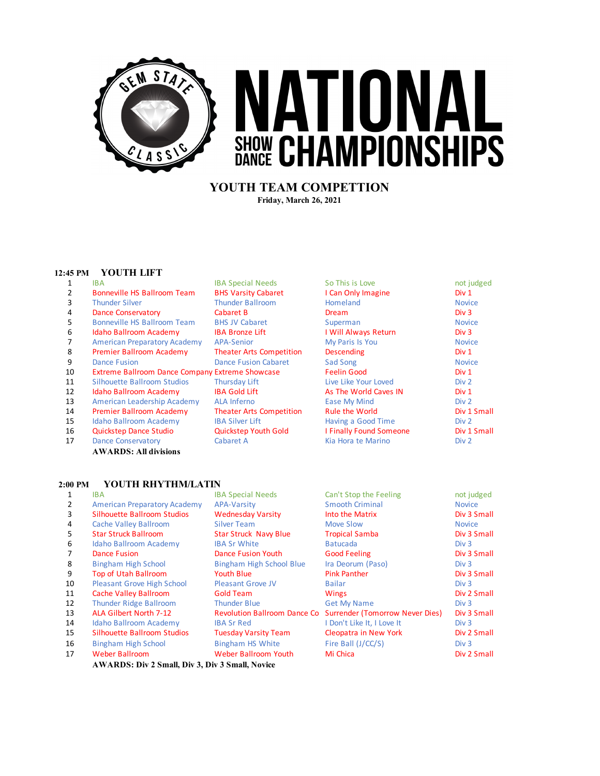

# **YOUTH TEAM COMPETTION Friday, March 26, 2021**

## **12:45 PM YOUTH LIFT**

|                             | <b>IDA JUELIAI INEEUS</b>  | <b>JU THIS IS LUVE</b> | טן טטוו |
|-----------------------------|----------------------------|------------------------|---------|
| Bonneville HS Ballroom Team | <b>BHS Varsity Cabaret</b> | I Can Only Imagine     | Div 1   |

- 
- 
- 5 Bonneville HS Ballroom Team BHS JV Cabaret Superman Superman Novice
- 6 Idaho Ballroom Academy IBA Bronze Lift I Will Always Return Div 3
- 7 American Preparatory Academy APA-Senior My Paris Is You Novice
- 8 Premier Ballroom Academy Theater Arts Competition Descending Div 1
- 
- 10 Extreme Ballroom Dance Company Extreme Showcase Feelin Good Feelin Good Div 1
- 11 Silhouette Ballroom Studios Thursday Lift Live Like Your Loved Div 2
- 12 Idaho Ballroom Academy IBA Gold Lift As The World Caves IN Div 1
- 13 American Leadership Academy ALA Inferno Ease My Mind Ease My Mind Div 2
- 14 Premier Ballroom Academy Theater Arts Competition Rule the World Div 1 Small
- 15 Idaho Ballroom Academy IBA Silver Lift Having a Good Time Div 2
- 16 Quickstep Dance Studio Quickstep Youth Gold I Finally Found Someone Div 1 Small
- 17 Dance Conservatory Cabaret A Kia Hora te Marino Div 2 **AWARDS: All divisions**

## **2:00 PM YOUTH RHYTHM/LATIN**

- 1 IBA IBA Special Needs Can't Stop the Feeling not judged 2 American Preparatory Academy APA-Varsity 3 Silhouette Ballroom Studios Wednesday Varsity Into the Matrix Div 3 Small 4 Cache Valley Ballroom Silver Team 5 Star Struck Ballroom Star Struck Navy Blue Tropical Samba Div 3 Small<br>5 Idaho Ballroom Academy BA Sr White Batucada Batucada Div 3 Idaho Ballroom Academy 7 Dance Fusion Dance Fusion Youth Good Feeling Good Feeling Div 3 Small 8 Bingham High School Bingham High School Blue 9 Top of Utah Ballroom Youth Blue Pink Panther Pink Panther Div 3 Small 10 Pleasant Grove High School Pleasant Grove JV<br>11 Cache Vallev Ballroom Gold Team 11 Cache Valley Ballroom Gold Team Wings Cache Valley Ballroom Gold Team Wings Div 2 Small 12 Thunder Ridge Ballroom Thunder Blue<br>13 ALA Gilbert North 7-12 Revolution Ba 13 ALA Gilbert North 7-12 Revolution Ballroom Dance Co Surrender (Tomorrow Never Dies) Div 3 Small 14 Idaho Ballroom Academy IBA Sr Red 15 Silhouette Ballroom Studios Tuesday Varsity Team Cleopatra in New York Div 2 Small 16 Bingham High School Bingham HS White
	-

| :00 PM | YOUTH RHYTHM/LATIN                  |                              |                                                              |                  |
|--------|-------------------------------------|------------------------------|--------------------------------------------------------------|------------------|
| 1      | IBA.                                | <b>IBA Special Needs</b>     | Can't Stop the Feeling                                       | not judged       |
| 2      | <b>American Preparatory Academy</b> | <b>APA-Varsity</b>           | <b>Smooth Criminal</b>                                       | <b>Novice</b>    |
| 3      | <b>Silhouette Ballroom Studios</b>  | <b>Wednesday Varsity</b>     | Into the Matrix                                              | Div 3 Small      |
| 4      | Cache Valley Ballroom               | <b>Silver Team</b>           | Move Slow                                                    | <b>Novice</b>    |
| 5      | <b>Star Struck Ballroom</b>         | <b>Star Struck Navy Blue</b> | <b>Tropical Samba</b>                                        | Div 3 Small      |
| 6      | Idaho Ballroom Academy              | <b>IBA Sr White</b>          | <b>Batucada</b>                                              | Div <sub>3</sub> |
| 7      | <b>Dance Fusion</b>                 | Dance Fusion Youth           | <b>Good Feeling</b>                                          | Div 3 Small      |
| 8      | <b>Bingham High School</b>          | Bingham High School Blue     | Ira Deorum (Paso)                                            | Div <sub>3</sub> |
| 9      | <b>Top of Utah Ballroom</b>         | <b>Youth Blue</b>            | <b>Pink Panther</b>                                          | Div 3 Small      |
| 10     | <b>Pleasant Grove High School</b>   | <b>Pleasant Grove JV</b>     | <b>Bailar</b>                                                | Div <sub>3</sub> |
| 11     | Cache Valley Ballroom               | <b>Gold Team</b>             | <b>Wings</b>                                                 | Div 2 Small      |
| 12     | <b>Thunder Ridge Ballroom</b>       | <b>Thunder Blue</b>          | <b>Get My Name</b>                                           | Div <sub>3</sub> |
| 13     | ALA Gilbert North 7-12              |                              | Revolution Ballroom Dance Co Surrender (Tomorrow Never Dies) | Div 3 Small      |
| 14     | Idaho Ballroom Academy              | <b>IBA Sr Red</b>            | I Don't Like It, I Love It                                   | Div <sub>3</sub> |
| 15     | <b>Silhouette Ballroom Studios</b>  | <b>Tuesday Varsity Team</b>  | Cleopatra in New York                                        | Div 2 Small      |
| 16     | <b>Bingham High School</b>          | Bingham HS White             | Fire Ball (J/CC/S)                                           | Div <sub>3</sub> |
| 17     | <b>Weber Ballroom</b>               | Weber Ballroom Youth         | Mi Chica                                                     | Div 2 Small      |

**AWARDS: Div 2 Small, Div 3, Div 3 Small, Novice**

1 IBA IBA IBA Special Needs So This is Love not judged **3** Thunder Silver Thunder Ballroom Homeland Novice 4 Dance Conservatory Cabaret B Dream Div 3 **9** Dance Fusion Dance Fusion Cabaret Sad Song Novice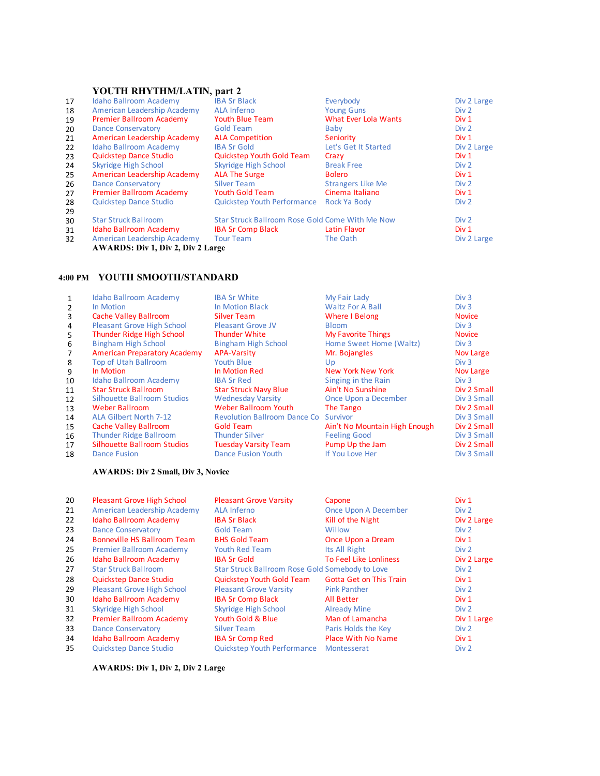# **YOUTH RHYTHM/LATIN, part 2**

| 17 | <b>Idaho Ballroom Academy</b>            | <b>IBA Sr Black</b>                             | Everybody                | Div 2 Large      |
|----|------------------------------------------|-------------------------------------------------|--------------------------|------------------|
| 18 | American Leadership Academy              | ALA Inferno                                     | <b>Young Guns</b>        | Div 2            |
| 19 | Premier Ballroom Academy                 | <b>Youth Blue Team</b>                          | What Ever Lola Wants     | Div 1            |
| 20 | <b>Dance Conservatory</b>                | <b>Gold Team</b>                                | Baby                     | Div 2            |
| 21 | American Leadership Academy              | <b>ALA Competition</b>                          | Seniority                | Div 1            |
| 22 | Idaho Ballroom Academy                   | <b>IBA Sr Gold</b>                              | Let's Get It Started     | Div 2 Large      |
| 23 | <b>Quickstep Dance Studio</b>            | <b>Quickstep Youth Gold Team</b>                | Crazy                    | Div 1            |
| 24 | Skyridge High School                     | Skyridge High School                            | <b>Break Free</b>        | Div <sub>2</sub> |
| 25 | American Leadership Academy              | <b>ALA The Surge</b>                            | <b>Bolero</b>            | Div 1            |
| 26 | <b>Dance Conservatory</b>                | <b>Silver Team</b>                              | <b>Strangers Like Me</b> | Div 2            |
| 27 | Premier Ballroom Academy                 | <b>Youth Gold Team</b>                          | Cinema Italiano          | Div 1            |
| 28 | <b>Quickstep Dance Studio</b>            | <b>Quickstep Youth Performance</b>              | Rock Ya Body             | Div 2            |
| 29 |                                          |                                                 |                          |                  |
| 30 | <b>Star Struck Ballroom</b>              | Star Struck Ballroom Rose Gold Come With Me Now |                          | Div 2            |
| 31 | Idaho Ballroom Academy                   | <b>IBA Sr Comp Black</b>                        | Latin Flavor             | Div 1            |
| 32 | American Leadership Academy              | <b>Tour Team</b>                                | The Oath                 | Div 2 Large      |
|    | <b>AWARDS: Div 1, Div 2, Div 2 Large</b> |                                                 |                          |                  |
|    |                                          |                                                 |                          |                  |

## **4:00 PM YOUTH SMOOTH/STANDARD**

| 1             | Idaho Ballroom Academy              | <b>IBA Sr White</b>                 | My Fair Lady                  | Div <sub>3</sub> |
|---------------|-------------------------------------|-------------------------------------|-------------------------------|------------------|
| $\mathcal{P}$ | In Motion                           | In Motion Black                     | <b>Waltz For A Ball</b>       | Div <sub>3</sub> |
| 3             | Cache Valley Ballroom               | <b>Silver Team</b>                  | Where I Belong                | <b>Novice</b>    |
| 4             | <b>Pleasant Grove High School</b>   | Pleasant Grove JV                   | <b>Bloom</b>                  | Div 3            |
| 5.            | <b>Thunder Ridge High School</b>    | <b>Thunder White</b>                | <b>My Favorite Things</b>     | <b>Novice</b>    |
| 6             | <b>Bingham High School</b>          | Bingham High School                 | Home Sweet Home (Waltz)       | Div <sub>3</sub> |
|               | <b>American Preparatory Academy</b> | <b>APA-Varsity</b>                  | Mr. Bojangles                 | Nov Large        |
| 8             | <b>Top of Utah Ballroom</b>         | <b>Youth Blue</b>                   | U <sub>D</sub>                | Div 3            |
| 9             | In Motion                           | In Motion Red                       | New York New York             | Nov Large        |
| 10            | Idaho Ballroom Academy              | <b>IBA Sr Red</b>                   | Singing in the Rain           | Div 3            |
| 11            | <b>Star Struck Ballroom</b>         | <b>Star Struck Navy Blue</b>        | Ain't No Sunshine             | Div 2 Small      |
| 12            | <b>Silhouette Ballroom Studios</b>  | <b>Wednesday Varsity</b>            | Once Upon a December          | Div 3 Small      |
| 13            | <b>Weber Ballroom</b>               | <b>Weber Ballroom Youth</b>         | The Tango                     | Div 2 Small      |
| 14            | ALA Gilbert North 7-12              | <b>Revolution Ballroom Dance Co</b> | Survivor                      | Div 3 Small      |
| 15            | Cache Valley Ballroom               | <b>Gold Team</b>                    | Ain't No Mountain High Enough | Div 2 Small      |
| 16            | <b>Thunder Ridge Ballroom</b>       | <b>Thunder Silver</b>               | <b>Feeling Good</b>           | Div 3 Small      |
| 17            | <b>Silhouette Ballroom Studios</b>  | <b>Tuesday Varsity Team</b>         | Pump Up the Jam               | Div 2 Small      |
| 18            | Dance Fusion                        | <b>Dance Fusion Youth</b>           | If You Love Her               | Div 3 Small      |

## **AWARDS: Div 2 Small, Div 3, Novice**

| 20 | <b>Pleasant Grove High School</b>  | <b>Pleasant Grove Varsity</b>                   | Capone                         | Div 1            |
|----|------------------------------------|-------------------------------------------------|--------------------------------|------------------|
| 21 | American Leadership Academy        | ALA Inferno                                     | Once Upon A December           | Div 2            |
| 22 | Idaho Ballroom Academy             | <b>IBA Sr Black</b>                             | Kill of the Night              | Div 2 Large      |
| 23 | <b>Dance Conservatory</b>          | Gold Team                                       | Willow                         | Div <sub>2</sub> |
| 24 | <b>Bonneville HS Ballroom Team</b> | <b>BHS Gold Team</b>                            | Once Upon a Dream              | Div 1            |
| 25 | Premier Ballroom Academy           | <b>Youth Red Team</b>                           | Its All Right                  | Div 2            |
| 26 | Idaho Ballroom Academy             | <b>IBA Sr Gold</b>                              | To Feel Like Lonliness         | Div 2 Large      |
| 27 | <b>Star Struck Ballroom</b>        | Star Struck Ballroom Rose Gold Somebody to Love |                                | Div 2            |
| 28 | <b>Quickstep Dance Studio</b>      | Quickstep Youth Gold Team                       | <b>Gotta Get on This Train</b> | Div 1            |
| 29 | <b>Pleasant Grove High School</b>  | <b>Pleasant Grove Varsity</b>                   | <b>Pink Panther</b>            | Div 2            |
| 30 | Idaho Ballroom Academy             | <b>IBA Sr Comp Black</b>                        | All Better                     | Div 1            |
| 31 | Skyridge High School               | Skyridge High School                            | <b>Already Mine</b>            | Div 2            |
| 32 | Premier Ballroom Academy           | Youth Gold & Blue                               | Man of Lamancha                | Div 1 Large      |
| 33 | <b>Dance Conservatory</b>          | <b>Silver Team</b>                              | Paris Holds the Key            | Div 2            |
| 34 | Idaho Ballroom Academy             | <b>IBA Sr Comp Red</b>                          | <b>Place With No Name</b>      | Div 1            |
| 35 | <b>Quickstep Dance Studio</b>      | <b>Quickstep Youth Performance</b>              | Montesserat                    | Div <sub>2</sub> |

**AWARDS: Div 1, Div 2, Div 2 Large**